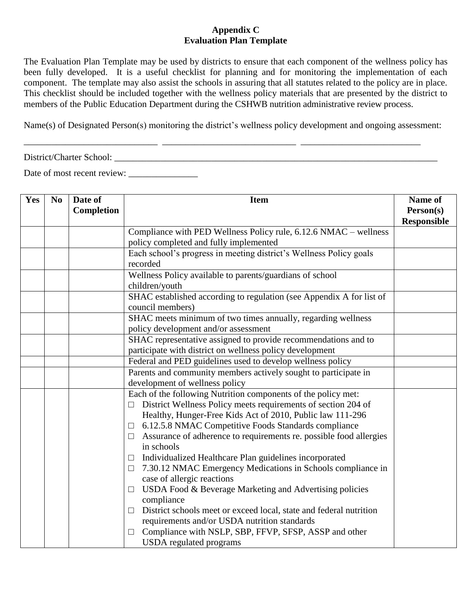## **Appendix C Evaluation Plan Template**

The Evaluation Plan Template may be used by districts to ensure that each component of the wellness policy has been fully developed. It is a useful checklist for planning and for monitoring the implementation of each component. The template may also assist the schools in assuring that all statutes related to the policy are in place. This checklist should be included together with the wellness policy materials that are presented by the district to members of the Public Education Department during the CSHWB nutrition administrative review process.

Name(s) of Designated Person(s) monitoring the district's wellness policy development and ongoing assessment:

\_\_\_\_\_\_\_\_\_\_\_\_\_\_\_\_\_\_\_\_\_\_\_\_\_\_\_\_\_ \_\_\_\_\_\_\_\_\_\_\_\_\_\_\_\_\_\_\_\_\_\_\_\_\_\_\_\_\_ \_\_\_\_\_\_\_\_\_\_\_\_\_\_\_\_\_\_\_\_\_\_\_\_\_\_

District/Charter School: \_\_\_\_\_\_\_\_\_\_\_\_\_\_\_\_\_\_\_\_\_\_\_\_\_\_\_\_\_\_\_\_\_\_\_\_\_\_\_\_\_\_\_\_\_\_\_\_\_\_\_\_\_\_\_\_\_\_\_\_\_\_\_\_\_\_\_\_\_\_

Date of most recent review: \_\_\_\_\_\_\_\_\_\_\_\_\_\_\_

| Yes | N <sub>0</sub> | Date of    | <b>Item</b>                                                                                | Name of            |
|-----|----------------|------------|--------------------------------------------------------------------------------------------|--------------------|
|     |                | Completion |                                                                                            | Person(s)          |
|     |                |            |                                                                                            | <b>Responsible</b> |
|     |                |            | Compliance with PED Wellness Policy rule, 6.12.6 NMAC - wellness                           |                    |
|     |                |            | policy completed and fully implemented                                                     |                    |
|     |                |            | Each school's progress in meeting district's Wellness Policy goals<br>recorded             |                    |
|     |                |            | Wellness Policy available to parents/guardians of school<br>children/youth                 |                    |
|     |                |            | SHAC established according to regulation (see Appendix A for list of<br>council members)   |                    |
|     |                |            | SHAC meets minimum of two times annually, regarding wellness                               |                    |
|     |                |            | policy development and/or assessment                                                       |                    |
|     |                |            | SHAC representative assigned to provide recommendations and to                             |                    |
|     |                |            | participate with district on wellness policy development                                   |                    |
|     |                |            | Federal and PED guidelines used to develop wellness policy                                 |                    |
|     |                |            | Parents and community members actively sought to participate in                            |                    |
|     |                |            | development of wellness policy                                                             |                    |
|     |                |            | Each of the following Nutrition components of the policy met:                              |                    |
|     |                |            | District Wellness Policy meets requirements of section 204 of                              |                    |
|     |                |            | Healthy, Hunger-Free Kids Act of 2010, Public law 111-296                                  |                    |
|     |                |            | 6.12.5.8 NMAC Competitive Foods Standards compliance<br>$\Box$                             |                    |
|     |                |            | Assurance of adherence to requirements re. possible food allergies<br>$\Box$<br>in schools |                    |
|     |                |            | Individualized Healthcare Plan guidelines incorporated<br>$\Box$                           |                    |
|     |                |            | 7.30.12 NMAC Emergency Medications in Schools compliance in<br>$\Box$                      |                    |
|     |                |            | case of allergic reactions                                                                 |                    |
|     |                |            | USDA Food & Beverage Marketing and Advertising policies<br>$\Box$                          |                    |
|     |                |            | compliance                                                                                 |                    |
|     |                |            | District schools meet or exceed local, state and federal nutrition<br>$\Box$               |                    |
|     |                |            | requirements and/or USDA nutrition standards                                               |                    |
|     |                |            | Compliance with NSLP, SBP, FFVP, SFSP, ASSP and other<br>□                                 |                    |
|     |                |            | <b>USDA</b> regulated programs                                                             |                    |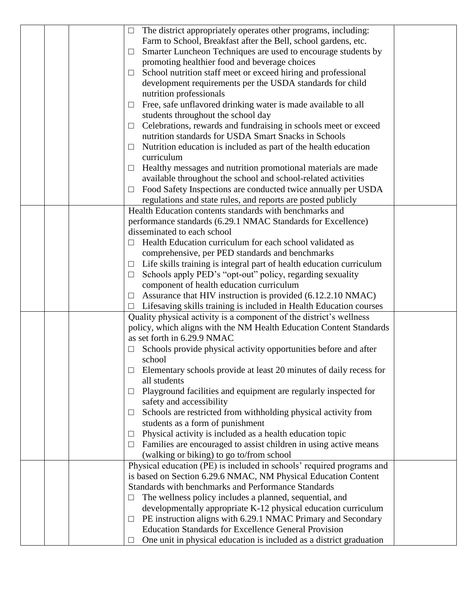|  | $\Box$ | The district appropriately operates other programs, including:                                        |  |
|--|--------|-------------------------------------------------------------------------------------------------------|--|
|  |        | Farm to School, Breakfast after the Bell, school gardens, etc.                                        |  |
|  | $\Box$ | Smarter Luncheon Techniques are used to encourage students by                                         |  |
|  |        | promoting healthier food and beverage choices                                                         |  |
|  | $\Box$ | School nutrition staff meet or exceed hiring and professional                                         |  |
|  |        | development requirements per the USDA standards for child                                             |  |
|  |        | nutrition professionals                                                                               |  |
|  | $\Box$ | Free, safe unflavored drinking water is made available to all                                         |  |
|  |        | students throughout the school day                                                                    |  |
|  | $\Box$ | Celebrations, rewards and fundraising in schools meet or exceed                                       |  |
|  |        | nutrition standards for USDA Smart Snacks in Schools                                                  |  |
|  | $\Box$ | Nutrition education is included as part of the health education                                       |  |
|  |        | curriculum                                                                                            |  |
|  | $\Box$ | Healthy messages and nutrition promotional materials are made                                         |  |
|  |        | available throughout the school and school-related activities                                         |  |
|  | $\Box$ | Food Safety Inspections are conducted twice annually per USDA                                         |  |
|  |        | regulations and state rules, and reports are posted publicly                                          |  |
|  |        | Health Education contents standards with benchmarks and                                               |  |
|  |        | performance standards (6.29.1 NMAC Standards for Excellence)                                          |  |
|  |        | disseminated to each school                                                                           |  |
|  |        | Health Education curriculum for each school validated as                                              |  |
|  |        | comprehensive, per PED standards and benchmarks                                                       |  |
|  | $\Box$ | Life skills training is integral part of health education curriculum                                  |  |
|  | $\Box$ | Schools apply PED's "opt-out" policy, regarding sexuality<br>component of health education curriculum |  |
|  | $\Box$ | Assurance that HIV instruction is provided (6.12.2.10 NMAC)                                           |  |
|  |        | Lifesaving skills training is included in Health Education courses                                    |  |
|  |        | Quality physical activity is a component of the district's wellness                                   |  |
|  |        | policy, which aligns with the NM Health Education Content Standards                                   |  |
|  |        | as set forth in 6.29.9 NMAC                                                                           |  |
|  |        | Schools provide physical activity opportunities before and after                                      |  |
|  |        | school                                                                                                |  |
|  |        | Elementary schools provide at least 20 minutes of daily recess for                                    |  |
|  |        | all students                                                                                          |  |
|  | ⊔      | Playground facilities and equipment are regularly inspected for                                       |  |
|  |        | safety and accessibility                                                                              |  |
|  | $\Box$ | Schools are restricted from withholding physical activity from                                        |  |
|  |        | students as a form of punishment                                                                      |  |
|  | $\Box$ | Physical activity is included as a health education topic                                             |  |
|  | $\Box$ | Families are encouraged to assist children in using active means                                      |  |
|  |        | (walking or biking) to go to/from school                                                              |  |
|  |        | Physical education (PE) is included in schools' required programs and                                 |  |
|  |        | is based on Section 6.29.6 NMAC, NM Physical Education Content                                        |  |
|  |        | Standards with benchmarks and Performance Standards                                                   |  |
|  |        | The wellness policy includes a planned, sequential, and                                               |  |
|  |        | developmentally appropriate K-12 physical education curriculum                                        |  |
|  |        | PE instruction aligns with 6.29.1 NMAC Primary and Secondary                                          |  |
|  |        | <b>Education Standards for Excellence General Provision</b>                                           |  |
|  | $\Box$ | One unit in physical education is included as a district graduation                                   |  |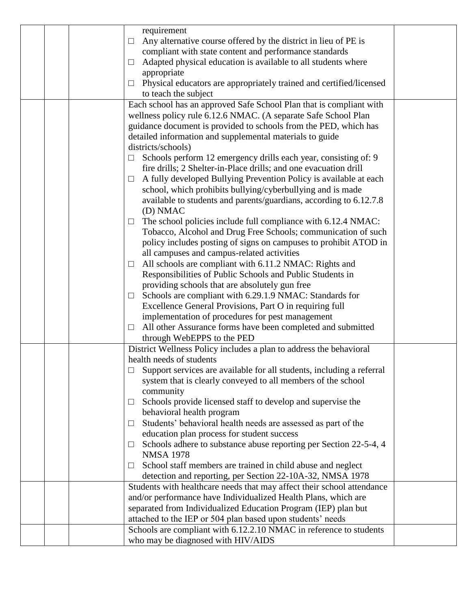|  | requirement                                                                   |  |
|--|-------------------------------------------------------------------------------|--|
|  | Any alternative course offered by the district in lieu of PE is<br>⊔          |  |
|  | compliant with state content and performance standards                        |  |
|  | Adapted physical education is available to all students where                 |  |
|  | appropriate                                                                   |  |
|  | Physical educators are appropriately trained and certified/licensed<br>$\Box$ |  |
|  | to teach the subject                                                          |  |
|  | Each school has an approved Safe School Plan that is compliant with           |  |
|  | wellness policy rule 6.12.6 NMAC. (A separate Safe School Plan                |  |
|  | guidance document is provided to schools from the PED, which has              |  |
|  | detailed information and supplemental materials to guide                      |  |
|  | districts/schools)                                                            |  |
|  | Schools perform 12 emergency drills each year, consisting of: 9<br>$\Box$     |  |
|  | fire drills; 2 Shelter-in-Place drills; and one evacuation drill              |  |
|  | A fully developed Bullying Prevention Policy is available at each<br>⊔        |  |
|  | school, which prohibits bullying/cyberbullying and is made                    |  |
|  | available to students and parents/guardians, according to 6.12.7.8            |  |
|  | (D) NMAC                                                                      |  |
|  | The school policies include full compliance with 6.12.4 NMAC:<br>⊔            |  |
|  | Tobacco, Alcohol and Drug Free Schools; communication of such                 |  |
|  | policy includes posting of signs on campuses to prohibit ATOD in              |  |
|  | all campuses and campus-related activities                                    |  |
|  | All schools are compliant with 6.11.2 NMAC: Rights and<br>$\Box$              |  |
|  | Responsibilities of Public Schools and Public Students in                     |  |
|  | providing schools that are absolutely gun free                                |  |
|  | Schools are compliant with 6.29.1.9 NMAC: Standards for<br>$\Box$             |  |
|  | Excellence General Provisions, Part O in requiring full                       |  |
|  | implementation of procedures for pest management                              |  |
|  | All other Assurance forms have been completed and submitted<br>⊔              |  |
|  | through WebEPPS to the PED                                                    |  |
|  | District Wellness Policy includes a plan to address the behavioral            |  |
|  | health needs of students                                                      |  |
|  | Support services are available for all students, including a referral         |  |
|  | system that is clearly conveyed to all members of the school                  |  |
|  | community                                                                     |  |
|  | Schools provide licensed staff to develop and supervise the<br>⊔              |  |
|  | behavioral health program                                                     |  |
|  | Students' behavioral health needs are assessed as part of the<br>⊔            |  |
|  | education plan process for student success                                    |  |
|  | Schools adhere to substance abuse reporting per Section 22-5-4, 4<br>⊔        |  |
|  | <b>NMSA 1978</b>                                                              |  |
|  | School staff members are trained in child abuse and neglect                   |  |
|  | detection and reporting, per Section 22-10A-32, NMSA 1978                     |  |
|  | Students with healthcare needs that may affect their school attendance        |  |
|  | and/or performance have Individualized Health Plans, which are                |  |
|  | separated from Individualized Education Program (IEP) plan but                |  |
|  | attached to the IEP or 504 plan based upon students' needs                    |  |
|  | Schools are compliant with 6.12.2.10 NMAC in reference to students            |  |
|  | who may be diagnosed with HIV/AIDS                                            |  |
|  |                                                                               |  |